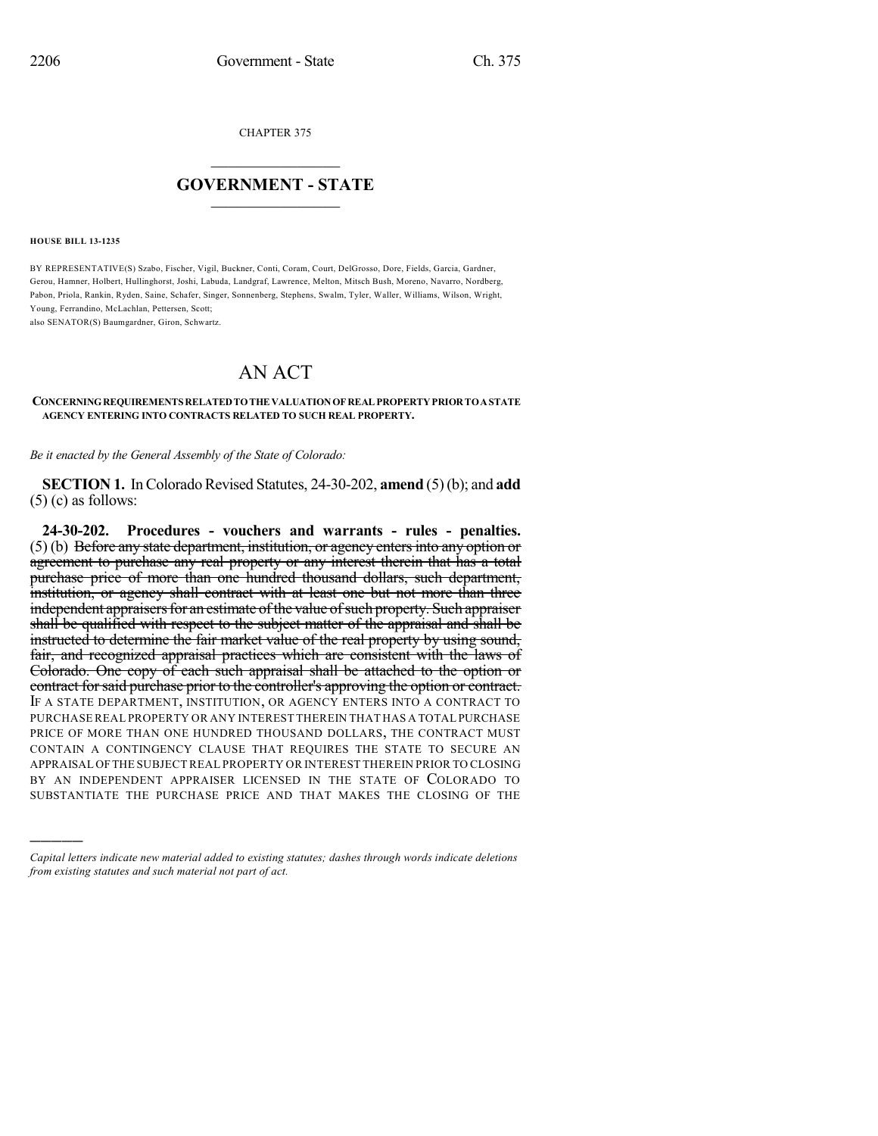CHAPTER 375

## $\overline{\phantom{a}}$  . The set of the set of the set of the set of the set of the set of the set of the set of the set of the set of the set of the set of the set of the set of the set of the set of the set of the set of the set o **GOVERNMENT - STATE**  $\_$   $\_$   $\_$   $\_$   $\_$   $\_$   $\_$   $\_$

**HOUSE BILL 13-1235**

)))))

BY REPRESENTATIVE(S) Szabo, Fischer, Vigil, Buckner, Conti, Coram, Court, DelGrosso, Dore, Fields, Garcia, Gardner, Gerou, Hamner, Holbert, Hullinghorst, Joshi, Labuda, Landgraf, Lawrence, Melton, Mitsch Bush, Moreno, Navarro, Nordberg, Pabon, Priola, Rankin, Ryden, Saine, Schafer, Singer, Sonnenberg, Stephens, Swalm, Tyler, Waller, Williams, Wilson, Wright, Young, Ferrandino, McLachlan, Pettersen, Scott; also SENATOR(S) Baumgardner, Giron, Schwartz.

## AN ACT

**CONCERNINGREQUIREMENTSRELATEDTOTHE VALUATIONOF REAL PROPERTYPRIORTOASTATE AGENCY ENTERING INTO CONTRACTS RELATED TO SUCH REAL PROPERTY.**

*Be it enacted by the General Assembly of the State of Colorado:*

**SECTION 1.** In Colorado Revised Statutes, 24-30-202, **amend** (5)(b); and **add**  $(5)$  (c) as follows:

**24-30-202. Procedures - vouchers and warrants - rules - penalties.** (5) (b) Before any state department, institution, or agency entersinto any option or agreement to purchase any real property or any interest therein that has a total purchase price of more than one hundred thousand dollars, such department, institution, or agency shall contract with at least one but not more than three independent appraisers for an estimate of the value of such property. Such appraiser shall be qualified with respect to the subject matter of the appraisal and shall be instructed to determine the fair market value of the real property by using sound, fair, and recognized appraisal practices which are consistent with the laws of Colorado. One copy of each such appraisal shall be attached to the option or contract for said purchase prior to the controller's approving the option or contract. IF A STATE DEPARTMENT, INSTITUTION, OR AGENCY ENTERS INTO A CONTRACT TO PURCHASE REAL PROPERTY OR ANY INTEREST THEREIN THAT HAS A TOTAL PURCHASE PRICE OF MORE THAN ONE HUNDRED THOUSAND DOLLARS, THE CONTRACT MUST CONTAIN A CONTINGENCY CLAUSE THAT REQUIRES THE STATE TO SECURE AN APPRAISAL OFTHE SUBJECT REAL PROPERTY OR INTEREST THEREIN PRIOR TO CLOSING BY AN INDEPENDENT APPRAISER LICENSED IN THE STATE OF COLORADO TO SUBSTANTIATE THE PURCHASE PRICE AND THAT MAKES THE CLOSING OF THE

*Capital letters indicate new material added to existing statutes; dashes through words indicate deletions from existing statutes and such material not part of act.*